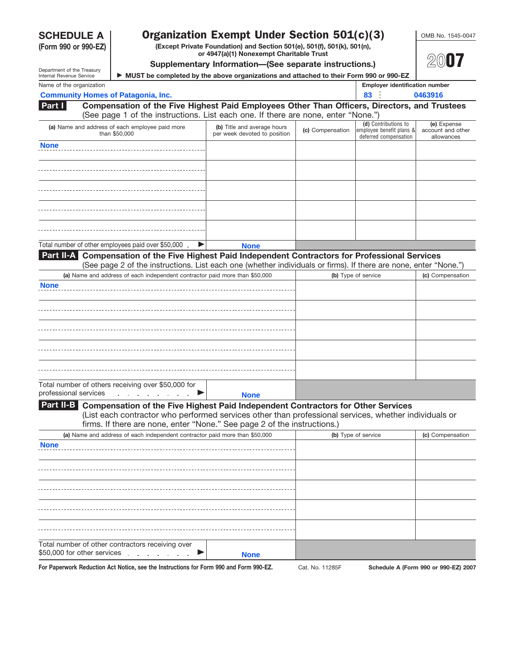**(Form 990 or 990-EZ)**

## **SCHEDULE A** | **Organization Exempt Under Section 501(c)(3)** | OMB No. 1545-0047

**(Except Private Foundation) and Section 501(e), 501(f), 501(k), 501(n), or 4947(a)(1) Nonexempt Charitable Trust**



**20**07

|                                                        |                                                                                                                                                                                                 | Supplementary Information-(See separate instructions.)      |                  |                                                                           | ZWU 7                                          |
|--------------------------------------------------------|-------------------------------------------------------------------------------------------------------------------------------------------------------------------------------------------------|-------------------------------------------------------------|------------------|---------------------------------------------------------------------------|------------------------------------------------|
| Department of the Treasury<br>Internal Revenue Service | MUST be completed by the above organizations and attached to their Form 990 or 990-EZ                                                                                                           |                                                             |                  |                                                                           |                                                |
| Name of the organization                               |                                                                                                                                                                                                 |                                                             |                  | <b>Employer identification number</b>                                     |                                                |
|                                                        | <b>Community Homes of Patagonia, Inc.</b>                                                                                                                                                       |                                                             |                  | 83                                                                        | 0463916                                        |
| Part I                                                 | Compensation of the Five Highest Paid Employees Other Than Officers, Directors, and Trustees<br>(See page 1 of the instructions. List each one. If there are none, enter "None.")               |                                                             |                  |                                                                           |                                                |
|                                                        | (a) Name and address of each employee paid more<br>than \$50,000                                                                                                                                | (b) Title and average hours<br>per week devoted to position | (c) Compensation | (d) Contributions to<br>employee benefit plans &<br>deferred compensation | (e) Expense<br>account and other<br>allowances |
| <b>None</b>                                            |                                                                                                                                                                                                 |                                                             |                  |                                                                           |                                                |
|                                                        |                                                                                                                                                                                                 |                                                             |                  |                                                                           |                                                |
|                                                        |                                                                                                                                                                                                 |                                                             |                  |                                                                           |                                                |
|                                                        |                                                                                                                                                                                                 |                                                             |                  |                                                                           |                                                |
|                                                        |                                                                                                                                                                                                 |                                                             |                  |                                                                           |                                                |
|                                                        | Total number of other employees paid over \$50,000                                                                                                                                              | <b>None</b>                                                 |                  |                                                                           |                                                |
|                                                        | Part II-A Compensation of the Five Highest Paid Independent Contractors for Professional Services                                                                                               |                                                             |                  |                                                                           |                                                |
|                                                        | (See page 2 of the instructions. List each one (whether individuals or firms). If there are none, enter "None.")<br>(a) Name and address of each independent contractor paid more than \$50,000 |                                                             |                  |                                                                           |                                                |
| <b>None</b>                                            |                                                                                                                                                                                                 |                                                             |                  | (b) Type of service                                                       | (c) Compensation                               |
|                                                        |                                                                                                                                                                                                 |                                                             |                  |                                                                           |                                                |
|                                                        |                                                                                                                                                                                                 |                                                             |                  |                                                                           |                                                |
|                                                        |                                                                                                                                                                                                 |                                                             |                  |                                                                           |                                                |
|                                                        |                                                                                                                                                                                                 |                                                             |                  |                                                                           |                                                |
|                                                        |                                                                                                                                                                                                 |                                                             |                  |                                                                           |                                                |
|                                                        |                                                                                                                                                                                                 |                                                             |                  |                                                                           |                                                |
|                                                        |                                                                                                                                                                                                 |                                                             |                  |                                                                           |                                                |
|                                                        |                                                                                                                                                                                                 |                                                             |                  |                                                                           |                                                |
|                                                        |                                                                                                                                                                                                 |                                                             |                  |                                                                           |                                                |
|                                                        | Total number of others receiving over \$50,000 for                                                                                                                                              |                                                             |                  |                                                                           |                                                |
| professional services                                  | $\sim$ $\sim$                                                                                                                                                                                   | <b>None</b>                                                 |                  |                                                                           |                                                |
|                                                        | Part II-B Compensation of the Five Highest Paid Independent Contractors for Other Services                                                                                                      |                                                             |                  |                                                                           |                                                |
|                                                        | (List each contractor who performed services other than professional services, whether individuals or                                                                                           |                                                             |                  |                                                                           |                                                |
|                                                        | firms. If there are none, enter "None." See page 2 of the instructions.)                                                                                                                        |                                                             |                  |                                                                           |                                                |
|                                                        | (a) Name and address of each independent contractor paid more than \$50,000                                                                                                                     |                                                             |                  | (b) Type of service                                                       | (c) Compensation                               |
| <b>None</b>                                            |                                                                                                                                                                                                 |                                                             |                  |                                                                           |                                                |
|                                                        |                                                                                                                                                                                                 |                                                             |                  |                                                                           |                                                |
|                                                        |                                                                                                                                                                                                 |                                                             |                  |                                                                           |                                                |
|                                                        |                                                                                                                                                                                                 |                                                             |                  |                                                                           |                                                |
|                                                        |                                                                                                                                                                                                 |                                                             |                  |                                                                           |                                                |
|                                                        |                                                                                                                                                                                                 |                                                             |                  |                                                                           |                                                |
|                                                        |                                                                                                                                                                                                 |                                                             |                  |                                                                           |                                                |
|                                                        |                                                                                                                                                                                                 |                                                             |                  |                                                                           |                                                |
|                                                        | Total number of other contractors receiving over                                                                                                                                                |                                                             |                  |                                                                           |                                                |
|                                                        | \$50,000 for other services                                                                                                                                                                     | <b>None</b>                                                 |                  |                                                                           |                                                |
|                                                        | For Paperwork Reduction Act Notice, see the Instructions for Form 990 and Form 990-EZ.                                                                                                          |                                                             | Cat. No. 11285F  |                                                                           | Schedule A (Form 990 or 990-EZ) 2007           |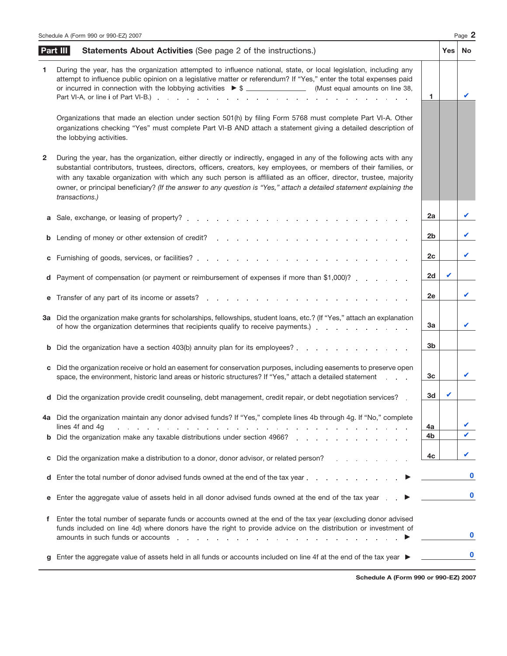|    | Schedule A (Form 990 or 990-EZ) 2007                                                                                                                                                                                                                                                                                                                                                                                                                                                                     |          |     | Page 2   |
|----|----------------------------------------------------------------------------------------------------------------------------------------------------------------------------------------------------------------------------------------------------------------------------------------------------------------------------------------------------------------------------------------------------------------------------------------------------------------------------------------------------------|----------|-----|----------|
|    | Part III<br><b>Statements About Activities (See page 2 of the instructions.)</b>                                                                                                                                                                                                                                                                                                                                                                                                                         |          | Yes | No       |
| 1. | During the year, has the organization attempted to influence national, state, or local legislation, including any<br>attempt to influence public opinion on a legislative matter or referendum? If "Yes," enter the total expenses paid<br>or incurred in connection with the lobbying activities $\triangleright$ \$ ______________________(Must equal amounts on line 38,                                                                                                                              | 1        |     | ✔        |
|    | Organizations that made an election under section 501(h) by filing Form 5768 must complete Part VI-A. Other<br>organizations checking "Yes" must complete Part VI-B AND attach a statement giving a detailed description of<br>the lobbying activities.                                                                                                                                                                                                                                                  |          |     |          |
| 2  | During the year, has the organization, either directly or indirectly, engaged in any of the following acts with any<br>substantial contributors, trustees, directors, officers, creators, key employees, or members of their families, or<br>with any taxable organization with which any such person is affiliated as an officer, director, trustee, majority<br>owner, or principal beneficiary? (If the answer to any question is "Yes," attach a detailed statement explaining the<br>transactions.) |          |     |          |
| а  |                                                                                                                                                                                                                                                                                                                                                                                                                                                                                                          | 2a       |     | V        |
| b  | Lending of money or other extension of credit? The contract of the contract of the contract of the contract of the contract of the contract of the contract of the contract of the contract of the contract of the contract of                                                                                                                                                                                                                                                                           | 2b       |     | V        |
| С  |                                                                                                                                                                                                                                                                                                                                                                                                                                                                                                          | 2c       |     | V        |
| d  | Payment of compensation (or payment or reimbursement of expenses if more than \$1,000)?                                                                                                                                                                                                                                                                                                                                                                                                                  | 2d       | ✓   |          |
| е  | Transfer of any part of its income or assets?<br>Transfer of any part of its income or assets?                                                                                                                                                                                                                                                                                                                                                                                                           | 2e       |     | V        |
|    | 3a Did the organization make grants for scholarships, fellowships, student loans, etc.? (If "Yes," attach an explanation<br>of how the organization determines that recipients qualify to receive payments.) exclude the contact of how the organization determines that recipients qualify to receive payments.)                                                                                                                                                                                        | За       |     | V        |
| b  | Did the organization have a section 403(b) annuity plan for its employees?                                                                                                                                                                                                                                                                                                                                                                                                                               | 3b       |     |          |
| С  | Did the organization receive or hold an easement for conservation purposes, including easements to preserve open<br>space, the environment, historic land areas or historic structures? If "Yes," attach a detailed statement                                                                                                                                                                                                                                                                            | Зс       |     | V        |
|    | d Did the organization provide credit counseling, debt management, credit repair, or debt negotiation services?                                                                                                                                                                                                                                                                                                                                                                                          | 3d       |     |          |
|    | 4a Did the organization maintain any donor advised funds? If "Yes," complete lines 4b through 4g. If "No," complete<br>lines 4f and 4g                                                                                                                                                                                                                                                                                                                                                                   |          |     |          |
|    | and a construction of the construction of the construction of the construction of the construction of the construction of the construction of the construction of the construction of the construction of the construction of<br><b>b</b> Did the organization make any taxable distributions under section 4966?                                                                                                                                                                                        | 4a<br>4b |     |          |
| С  | Did the organization make a distribution to a donor, donor advisor, or related person?                                                                                                                                                                                                                                                                                                                                                                                                                   | 4c       |     |          |
| d  | Enter the total number of donor advised funds owned at the end of the tax year                                                                                                                                                                                                                                                                                                                                                                                                                           |          |     | $\bf{0}$ |
| е  | Enter the aggregate value of assets held in all donor advised funds owned at the end of the tax year <b>►</b>                                                                                                                                                                                                                                                                                                                                                                                            |          |     | $\bf{0}$ |
| f. | Enter the total number of separate funds or accounts owned at the end of the tax year (excluding donor advised<br>funds included on line 4d) where donors have the right to provide advice on the distribution or investment of<br>amounts in such funds or accounts enteries and a series and a series and a series of the series of the series of the series of the series of the series of the series of the series of the series of the series of the series                                         |          |     | $\bf{0}$ |
|    | Enter the aggregate value of assets held in all funds or accounts included on line 4f at the end of the tax year ▶                                                                                                                                                                                                                                                                                                                                                                                       |          |     |          |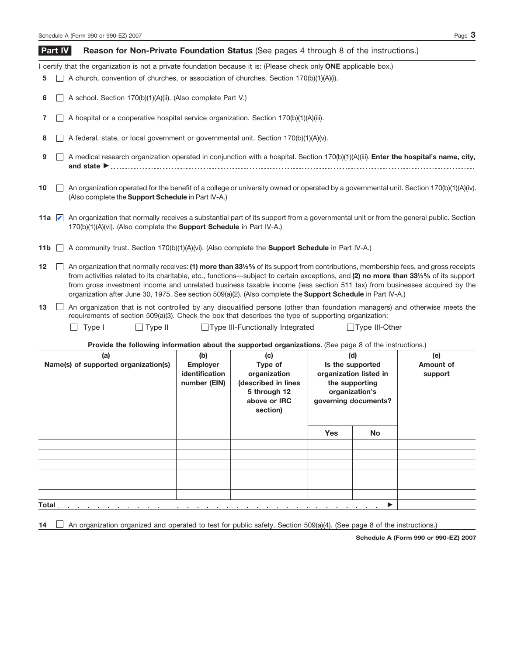|     |         | Page $3$<br>Schedule A (Form 990 or 990-EZ) 2007                                                                                                                                                                                                                                                                                                                                                                                                                                                                      |
|-----|---------|-----------------------------------------------------------------------------------------------------------------------------------------------------------------------------------------------------------------------------------------------------------------------------------------------------------------------------------------------------------------------------------------------------------------------------------------------------------------------------------------------------------------------|
|     | Part IV | <b>Reason for Non-Private Foundation Status</b> (See pages 4 through 8 of the instructions.)                                                                                                                                                                                                                                                                                                                                                                                                                          |
|     |         | I certify that the organization is not a private foundation because it is: (Please check only ONE applicable box.)                                                                                                                                                                                                                                                                                                                                                                                                    |
| 5   |         | A church, convention of churches, or association of churches. Section 170(b)(1)(A)(i).                                                                                                                                                                                                                                                                                                                                                                                                                                |
| 6   |         | A school. Section 170(b)(1)(A)(ii). (Also complete Part V.)                                                                                                                                                                                                                                                                                                                                                                                                                                                           |
|     |         | A hospital or a cooperative hospital service organization. Section 170(b)(1)(A)(iii).                                                                                                                                                                                                                                                                                                                                                                                                                                 |
| 8   |         | A federal, state, or local government or governmental unit. Section 170(b)(1)(A)(v).                                                                                                                                                                                                                                                                                                                                                                                                                                  |
| 9   |         | A medical research organization operated in conjunction with a hospital. Section 170(b)(1)(A)(iii). Enter the hospital's name, city,                                                                                                                                                                                                                                                                                                                                                                                  |
| 10  |         | An organization operated for the benefit of a college or university owned or operated by a governmental unit. Section 170(b)(1)(A)(iv).<br>(Also complete the <b>Support Schedule</b> in Part IV-A.)                                                                                                                                                                                                                                                                                                                  |
|     |         | 11a <b>A</b> An organization that normally receives a substantial part of its support from a governmental unit or from the general public. Section<br>170(b)(1)(A)(vi). (Also complete the <b>Support Schedule</b> in Part IV-A.)                                                                                                                                                                                                                                                                                     |
| 11b |         | A community trust. Section 170(b)(1)(A)(vi). (Also complete the <b>Support Schedule</b> in Part IV-A.)                                                                                                                                                                                                                                                                                                                                                                                                                |
| 12  |         | An organization that normally receives: (1) more than 33%% of its support from contributions, membership fees, and gross receipts<br>from activities related to its charitable, etc., functions—subject to certain exceptions, and (2) no more than 331/3% of its support<br>from gross investment income and unrelated business taxable income (less section 511 tax) from businesses acquired by the<br>organization after June 30, 1975. See section 509(a)(2). (Also complete the Support Schedule in Part IV-A.) |

An organization that is not controlled by any disqualified persons (other than foundation managers) and otherwise meets the **13** requirements of section 509(a)(3). Check the box that describes the type of supporting organization:

Type I Type II Type III-Functionally Integrated Type III-Other

| Provide the following information about the supported organizations. (See page 8 of the instructions.) |                                                                                                                          |                                                 |                                        |                                                                     |                             |
|--------------------------------------------------------------------------------------------------------|--------------------------------------------------------------------------------------------------------------------------|-------------------------------------------------|----------------------------------------|---------------------------------------------------------------------|-----------------------------|
| (a)<br>Name(s) of supported organization(s)                                                            | (b)<br>(c)<br><b>Employer</b><br>Type of<br><b>identification</b><br>organization<br>(described in lines<br>number (EIN) |                                                 |                                        | (d)<br>Is the supported<br>organization listed in<br>the supporting | (e)<br>Amount of<br>support |
|                                                                                                        |                                                                                                                          | 5 through 12<br>above or <b>IRC</b><br>section) | organization's<br>governing documents? |                                                                     |                             |
|                                                                                                        |                                                                                                                          |                                                 | <b>Yes</b>                             | <b>No</b>                                                           |                             |
|                                                                                                        |                                                                                                                          |                                                 |                                        |                                                                     |                             |
|                                                                                                        |                                                                                                                          |                                                 |                                        |                                                                     |                             |
|                                                                                                        |                                                                                                                          |                                                 |                                        |                                                                     |                             |
|                                                                                                        |                                                                                                                          |                                                 |                                        |                                                                     |                             |
|                                                                                                        |                                                                                                                          |                                                 |                                        |                                                                     |                             |
|                                                                                                        |                                                                                                                          |                                                 |                                        |                                                                     |                             |
| Total.<br>and the company of the com-                                                                  |                                                                                                                          | the contract of the contract of the             |                                        | $\blacktriangleright$<br>the company of the company of the          |                             |

14  $\Box$  An organization organized and operated to test for public safety. Section 509(a)(4). (See page 8 of the instructions.)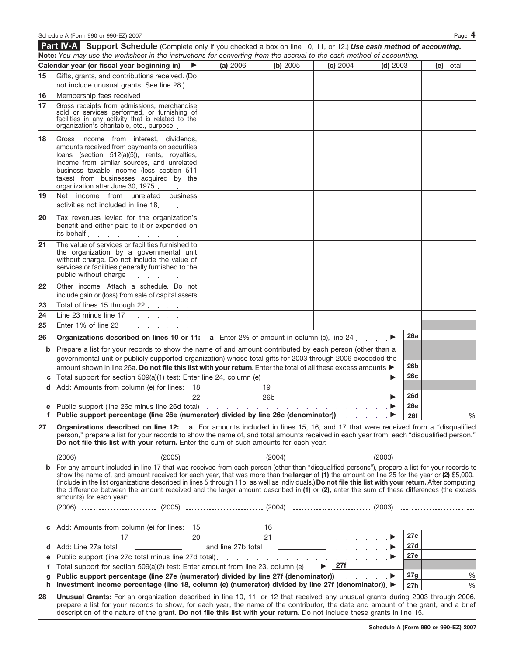Schedule A (Form 990 or 990-EZ) 2007 Page **4 Support Schedule** (Complete only if you checked a box on line 10, 11, or 12.) *Use cash method of accounting.* **Part IV-A Calendar year (or fiscal year beginning in)** © **(a)** 2006 **(b)** 2005 **(c)** 2004 **(d)** 2003 **(e)** Total **15 16** Membership fees received **17** Gross receipts from admissions, merchandise sold or services performed, or furnishing of facilities in any activity that is related to the organization's charitable, etc., purpose **18** Gross income from interest, dividends, amounts received from payments on securities loans (section 512(a)(5)), rents, royalties, income from similar sources, and unrelated business taxable income (less section 511 taxes) from businesses acquired by the organization after June 30, 1975 **19** Net income from unrelated business activities not included in line 18 Tax revenues levied for the organization's **20** Gifts, grants, and contributions received. (Do not include unusual grants. See line 28.) **Note:** *You may use the worksheet in the instructions for converting from the accrual to the cash method of accounting.*

|    | include gain or (loss) from sale of capital assets                                                                                                                                                                             |  |            |               |
|----|--------------------------------------------------------------------------------------------------------------------------------------------------------------------------------------------------------------------------------|--|------------|---------------|
| 23 | Total of lines 15 through 22                                                                                                                                                                                                   |  |            |               |
| 24 | Line 23 minus line $17 \cdot 11 \cdot 11 \cdot 11 \cdot 11$                                                                                                                                                                    |  |            |               |
| 25 | Enter 1% of line 23                                                                                                                                                                                                            |  |            |               |
| 26 | <b>Organizations described on lines 10 or 11:</b> a Enter 2% of amount in column (e), line 24 $\ldots$                                                                                                                         |  | 26a        |               |
|    | <b>b</b> Prepare a list for your records to show the name of and amount contributed by each person (other than a<br>governmental unit or publicly supported organization) whose total gifts for 2003 through 2006 exceeded the |  | 26b        |               |
|    | amount shown in line 26a. Do not file this list with your return. Enter the total of all these excess amounts                                                                                                                  |  |            |               |
|    |                                                                                                                                                                                                                                |  | 26c        |               |
|    | d Add: Amounts from column (e) for lines: 18 ______________ 19 _________________                                                                                                                                               |  |            |               |
|    |                                                                                                                                                                                                                                |  | <b>26d</b> |               |
|    |                                                                                                                                                                                                                                |  | <b>26e</b> |               |
|    | f Public support percentage (line 26e (numerator) divided by line 26c (denominator)) e a second-                                                                                                                               |  | <b>26f</b> | $\frac{0}{0}$ |

**Organizations described on line 12: a** For amounts included in lines 15, 16, and 17 that were received from a "disqualified person," prepare a list for your records to show the name of, and total amounts received in each year from, each "disqualified person." **Do not file this list with your return.** Enter the sum of such amounts for each year: **27**

(2006) (2005) (2004) (2003)

**b** For any amount included in line 17 that was received from each person (other than "disqualified persons"), prepare a list for your records to show the name of, and amount received for each year, that was more than the **larger** of **(1)** the amount on line 25 for the year or **(2)** \$5,000. (Include in the list organizations described in lines 5 through 11b, as well as individuals.) **Do not file this list with your return.** After computing the difference between the amount received and the larger amount described in **(1)** or **(2),** enter the sum of these differences (the excess amounts) for each year:

| ື |  |
|---|--|
|   |  |

benefit and either paid to it or expended on

the company of the company of

**Service State** 

The value of services or facilities furnished to the organization by a governmental unit without charge. Do not include the value of services or facilities generally furnished to the

Other income. Attach a schedule. Do not

its behalf

**21**

**22**

public without charge

| c Add: Amounts from column (e) for lines: $15$ ______________ 16 ______________                                           |     |      |
|---------------------------------------------------------------------------------------------------------------------------|-----|------|
| $20^{\circ}$<br>$\sqrt{2}$                                                                                                | 27c |      |
| <b>d</b> Add: Line 27a total                                                                                              | 27d |      |
| e Public support (line 27c total minus line 27d total).                                                                   | 27e |      |
| <b>f</b> Total support for section 509(a)(2) test: Enter amount from line 23, column (e) $\blacktriangleright$ <b>27f</b> |     |      |
| g Public support percentage (line 27e (numerator) divided by line 27f (denominator))                                      | 27g | $\%$ |
| h Investment income percentage (line 18, column (e) (numerator) divided by line 27f (denominator)). ▶                     | 27h | $\%$ |

**28 Unusual Grants:** For an organization described in line 10, 11, or 12 that received any unusual grants during 2003 through 2006, prepare a list for your records to show, for each year, the name of the contributor, the date and amount of the grant, and a brief description of the nature of the grant. **Do not file this list with your return.** Do not include these grants in line 15.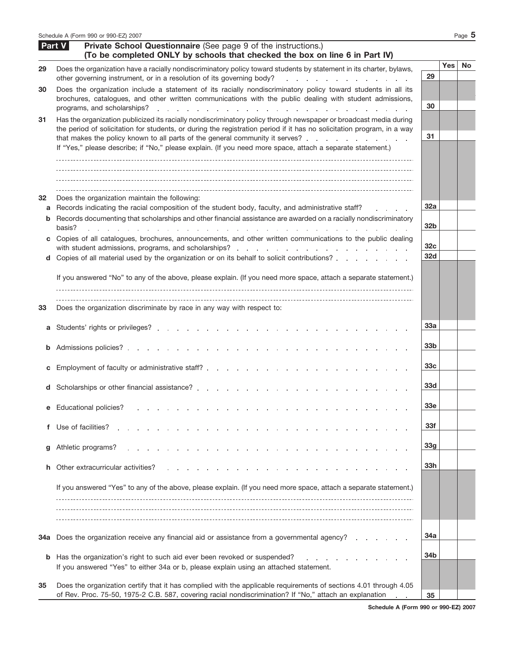|         | Schedule A (Form 990 or 990-EZ) 2007                                                                                                                                                                                                                                                                                                                                                                                                      |                                           |            | Page $5$  |
|---------|-------------------------------------------------------------------------------------------------------------------------------------------------------------------------------------------------------------------------------------------------------------------------------------------------------------------------------------------------------------------------------------------------------------------------------------------|-------------------------------------------|------------|-----------|
|         | Part V<br>Private School Questionnaire (See page 9 of the instructions.)<br>(To be completed ONLY by schools that checked the box on line 6 in Part IV)                                                                                                                                                                                                                                                                                   |                                           |            |           |
| 29      | Does the organization have a racially nondiscriminatory policy toward students by statement in its charter, bylaws,<br>other governing instrument, or in a resolution of its governing body?<br>a construction of the construction of the                                                                                                                                                                                                 | 29                                        | <b>Yes</b> | <b>No</b> |
| 30      | Does the organization include a statement of its racially nondiscriminatory policy toward students in all its<br>brochures, catalogues, and other written communications with the public dealing with student admissions,<br>programs, and scholarships?<br>the contract of the contract of the contract of the contract of the contract of                                                                                               | 30                                        |            |           |
| 31      | Has the organization publicized its racially nondiscriminatory policy through newspaper or broadcast media during<br>the period of solicitation for students, or during the registration period if it has no solicitation program, in a way<br>that makes the policy known to all parts of the general community it serves?<br>If "Yes," please describe; if "No," please explain. (If you need more space, attach a separate statement.) | 31                                        |            |           |
| 32<br>b | Does the organization maintain the following:<br>a Records indicating the racial composition of the student body, faculty, and administrative staff?<br>Records documenting that scholarships and other financial assistance are awarded on a racially nondiscriminatory                                                                                                                                                                  | 32a                                       |            |           |
| C<br>d  | basis?<br>and the state of the state of the state of the state of the state of the state of the state of the state of the<br><b>Contract Contract Contract</b><br>Copies of all catalogues, brochures, announcements, and other written communications to the public dealing<br>Copies of all material used by the organization or on its behalf to solicit contributions?                                                                | 32 <sub>b</sub><br>32 <sub>c</sub><br>32d |            |           |
|         | If you answered "No" to any of the above, please explain. (If you need more space, attach a separate statement.)                                                                                                                                                                                                                                                                                                                          |                                           |            |           |
| 33      | Does the organization discriminate by race in any way with respect to:                                                                                                                                                                                                                                                                                                                                                                    |                                           |            |           |
| а       |                                                                                                                                                                                                                                                                                                                                                                                                                                           | <b>33a</b>                                |            |           |
| b       |                                                                                                                                                                                                                                                                                                                                                                                                                                           | 33 <sub>b</sub>                           |            |           |
| с       |                                                                                                                                                                                                                                                                                                                                                                                                                                           | 33c                                       |            |           |
|         | d Scholarships or other financial assistance?                                                                                                                                                                                                                                                                                                                                                                                             | <b>33d</b>                                |            |           |
| е       | <b>Educational policies?</b>                                                                                                                                                                                                                                                                                                                                                                                                              | 33e                                       |            |           |
| f       | Use of facilities?                                                                                                                                                                                                                                                                                                                                                                                                                        | 33f                                       |            |           |
| g       | Athletic programs?                                                                                                                                                                                                                                                                                                                                                                                                                        | 33 <sub>g</sub>                           |            |           |
| h       | Other extracurricular activities?                                                                                                                                                                                                                                                                                                                                                                                                         | 33h                                       |            |           |
|         | If you answered "Yes" to any of the above, please explain. (If you need more space, attach a separate statement.)                                                                                                                                                                                                                                                                                                                         |                                           |            |           |
|         |                                                                                                                                                                                                                                                                                                                                                                                                                                           |                                           |            |           |
| 34a     | Does the organization receive any financial aid or assistance from a governmental agency?                                                                                                                                                                                                                                                                                                                                                 | 34a                                       |            |           |
| b       | Has the organization's right to such aid ever been revoked or suspended?<br>If you answered "Yes" to either 34a or b, please explain using an attached statement.                                                                                                                                                                                                                                                                         | 34b                                       |            |           |
| 35      | Does the organization certify that it has complied with the applicable requirements of sections 4.01 through 4.05<br>of Rev. Proc. 75-50, 1975-2 C.B. 587, covering racial nondiscrimination? If "No," attach an explanation                                                                                                                                                                                                              | 35                                        |            |           |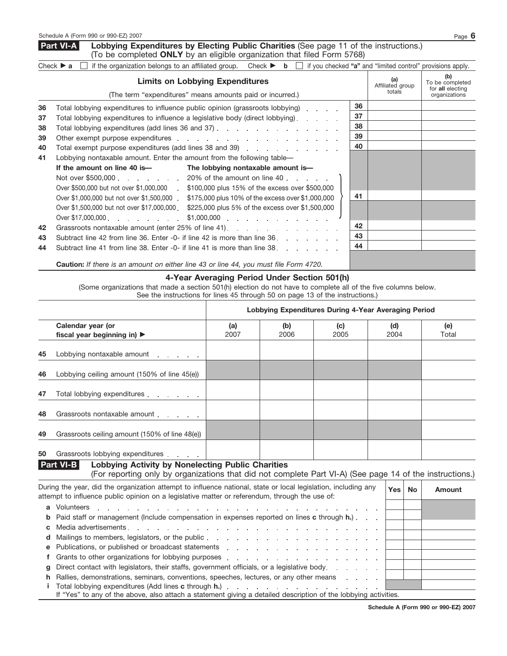**Lobbying Expenditures by Electing Public Charities** (See page 11 of the instructions.) (To be completed **ONLY** by an eligible organization that filed Form 5768) **Part VI-A**

|    | if the organization belongs to an affiliated group. Check $\triangleright$ <b>b</b> [<br>Check $\triangleright$ a                                                                                                                                                                                                                                |    | if you checked "a" and "limited control" provisions apply. |                                                             |
|----|--------------------------------------------------------------------------------------------------------------------------------------------------------------------------------------------------------------------------------------------------------------------------------------------------------------------------------------------------|----|------------------------------------------------------------|-------------------------------------------------------------|
|    | <b>Limits on Lobbying Expenditures</b><br>(The term "expenditures" means amounts paid or incurred.)                                                                                                                                                                                                                                              |    | (a)<br>Affiliated group<br>totals                          | (b)<br>To be completed<br>for all electing<br>organizations |
| 36 | Total lobbying expenditures to influence public opinion (grassroots lobbying)                                                                                                                                                                                                                                                                    | 36 |                                                            |                                                             |
| 37 | Total lobbying expenditures to influence a legislative body (direct lobbying).                                                                                                                                                                                                                                                                   | 37 |                                                            |                                                             |
| 38 | Total lobbying expenditures (add lines 36 and 37) $\ldots$ $\ldots$ $\ldots$ $\ldots$ $\ldots$ $\ldots$                                                                                                                                                                                                                                          | 38 |                                                            |                                                             |
| 39 |                                                                                                                                                                                                                                                                                                                                                  | 39 |                                                            |                                                             |
| 40 |                                                                                                                                                                                                                                                                                                                                                  | 40 |                                                            |                                                             |
| 41 | Lobbying nontaxable amount. Enter the amount from the following table—                                                                                                                                                                                                                                                                           |    |                                                            |                                                             |
|    | If the amount on line 40 is—<br>The lobbying nontaxable amount is-                                                                                                                                                                                                                                                                               |    |                                                            |                                                             |
|    | Not over \$500,000 20% of the amount on line 40                                                                                                                                                                                                                                                                                                  |    |                                                            |                                                             |
|    | Over \$500,000 but not over \$1,000,000 . \$100,000 plus 15% of the excess over \$500,000                                                                                                                                                                                                                                                        |    |                                                            |                                                             |
|    | Over \$1,000,000 but not over \$1,500,000<br>\$175,000 plus 10% of the excess over \$1,000,000                                                                                                                                                                                                                                                   | 41 |                                                            |                                                             |
|    | Over \$1,500,000 but not over \$17,000,000<br>\$225,000 plus 5% of the excess over \$1,500,000                                                                                                                                                                                                                                                   |    |                                                            |                                                             |
|    | Over \$17,000,000 example a series and the series of the series of the series of the series of the series of the<br>$$1,000,000$ and $$1,000,000$ and $$2,000,000$ and $$3,000,000$ and $$3,000,000$ and $$3,000,000$ and $$3,000,000$ and $$3,000,000$ and $$3,000,000$ and $$3,000,000$ and $$3,000,000$ and $$3,000,000$ and $$3,000,000$ and |    |                                                            |                                                             |
| 42 | Grassroots nontaxable amount (enter 25% of line 41).                                                                                                                                                                                                                                                                                             | 42 |                                                            |                                                             |
| 43 | Subtract line 42 from line 36. Enter -0- if line 42 is more than line 36.                                                                                                                                                                                                                                                                        | 43 |                                                            |                                                             |
| 44 | Subtract line 41 from line 38. Enter -0- if line 41 is more than line 38.                                                                                                                                                                                                                                                                        | 44 |                                                            |                                                             |
|    | <b>Caution:</b> If there is an amount on either line 43 or line 44, you must file Form 4720.                                                                                                                                                                                                                                                     |    |                                                            |                                                             |

## **4-Year Averaging Period Under Section 501(h)** (Some organizations that made a section 501(h) election do not have to complete all of the five columns below. See the instructions for lines 45 through 50 on page 13 of the instructions.)

|                       |                                                                                                                                                                                                                                                                                                                                                                                                                                                   | Lobbying Expenditures During 4-Year Averaging Period |             |             |             |           |              |  |
|-----------------------|---------------------------------------------------------------------------------------------------------------------------------------------------------------------------------------------------------------------------------------------------------------------------------------------------------------------------------------------------------------------------------------------------------------------------------------------------|------------------------------------------------------|-------------|-------------|-------------|-----------|--------------|--|
|                       | Calendar year (or<br>fiscal year beginning in) ▶                                                                                                                                                                                                                                                                                                                                                                                                  | (a)<br>2007                                          | (b)<br>2006 | (c)<br>2005 | (d)<br>2004 |           | (e)<br>Total |  |
| 45                    | Lobbying nontaxable amount                                                                                                                                                                                                                                                                                                                                                                                                                        |                                                      |             |             |             |           |              |  |
| 46                    | Lobbying ceiling amount (150% of line 45(e))                                                                                                                                                                                                                                                                                                                                                                                                      |                                                      |             |             |             |           |              |  |
| 47                    | Total lobbying expenditures                                                                                                                                                                                                                                                                                                                                                                                                                       |                                                      |             |             |             |           |              |  |
| 48                    | Grassroots nontaxable amount example of the state of the state of the state of the state of the state of the state of the state of the state of the state of the state of the state of the state of the state of the state of                                                                                                                                                                                                                     |                                                      |             |             |             |           |              |  |
| 49                    | Grassroots ceiling amount (150% of line 48(e))                                                                                                                                                                                                                                                                                                                                                                                                    |                                                      |             |             |             |           |              |  |
| 50                    | Grassroots lobbying expenditures                                                                                                                                                                                                                                                                                                                                                                                                                  |                                                      |             |             |             |           |              |  |
|                       | Part VI-B<br><b>Lobbying Activity by Nonelecting Public Charities</b><br>(For reporting only by organizations that did not complete Part VI-A) (See page 14 of the instructions.)                                                                                                                                                                                                                                                                 |                                                      |             |             |             |           |              |  |
|                       | During the year, did the organization attempt to influence national, state or local legislation, including any<br>attempt to influence public opinion on a legislative matter or referendum, through the use of:                                                                                                                                                                                                                                  |                                                      |             |             | <b>Yes</b>  | <b>No</b> | Amount       |  |
| a<br>b<br>C<br>d<br>е | Volunteers<br>and the contract of the contract of the contract of the contract of the contract of the contract of<br>Paid staff or management (Include compensation in expenses reported on lines c through h.).<br>Publications, or published or broadcast statements entitled by the statements of the statements of the statements of the statements of the statements of the statements of the statements of the statements of the statements |                                                      |             |             |             |           |              |  |
| a                     | Grants to other organizations for lobbying purposes entering and and an analyzed of the control of the control of the control of the control of the control of the control of the control of the control of the control of the<br>Direct contact with legislators, their staffs, government officials, or a legislative body.<br>Rallies, demonstrations, seminars, conventions, speeches, lectures, or any other means                           |                                                      |             |             |             |           |              |  |

**i** Total lobbying expenditures (Add lines **c** through **h.**)  $\mathbb{R}$ If "Yes" to any of the above, also attach a statement giving a detailed description of the lobbying activities.